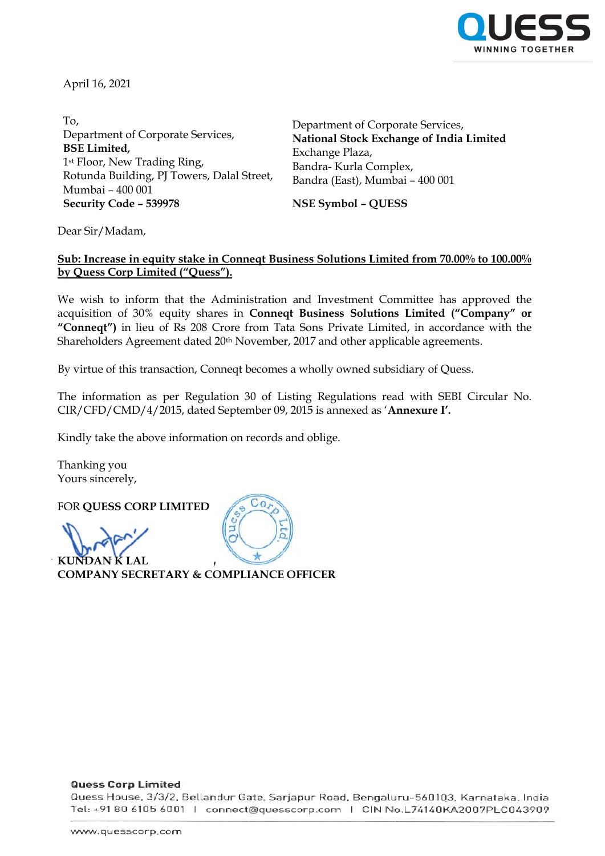

April 16, 2021

To, Department of Corporate Services, **BSE Limited,** 1st Floor, New Trading Ring, Rotunda Building, PJ Towers, Dalal Street, Mumbai – 400 001 **Security Code – 539978 NSE Symbol – QUESS**

Department of Corporate Services, **National Stock Exchange of India Limited** Exchange Plaza, Bandra- Kurla Complex, Bandra (East), Mumbai – 400 001

Dear Sir/Madam,

# **Sub: Increase in equity stake in Conneqt Business Solutions Limited from 70.00% to 100.00% by Quess Corp Limited ("Quess").**

We wish to inform that the Administration and Investment Committee has approved the acquisition of 30% equity shares in **Conneqt Business Solutions Limited ("Company" or "Conneqt")** in lieu of Rs 208 Crore from Tata Sons Private Limited, in accordance with the Shareholders Agreement dated 20<sup>th</sup> November, 2017 and other applicable agreements.

By virtue of this transaction, Conneqt becomes a wholly owned subsidiary of Quess.

 $Co<sub>l</sub>$ 

The information as per Regulation 30 of Listing Regulations read with SEBI Circular No. CIR/CFD/CMD/4/2015, dated September 09, 2015 is annexed as '**Annexure I'.**

Kindly take the above information on records and oblige.

Thanking you Yours sincerely,

FOR **QUESS CORP LIMITED**

**KUNDAN K LAL COMPANY SECRETARY & COMPLIANCE OFFICER**

### **Quess Corp Limited**

Quess House, 3/3/2, Bellandur Gate, Sarjapur Road, Bengaluru-560103, Karnataka, India Tel: +91 80 6105 6001 | connect@quesscorp.com | CIN No.L74140KA2007PLC043909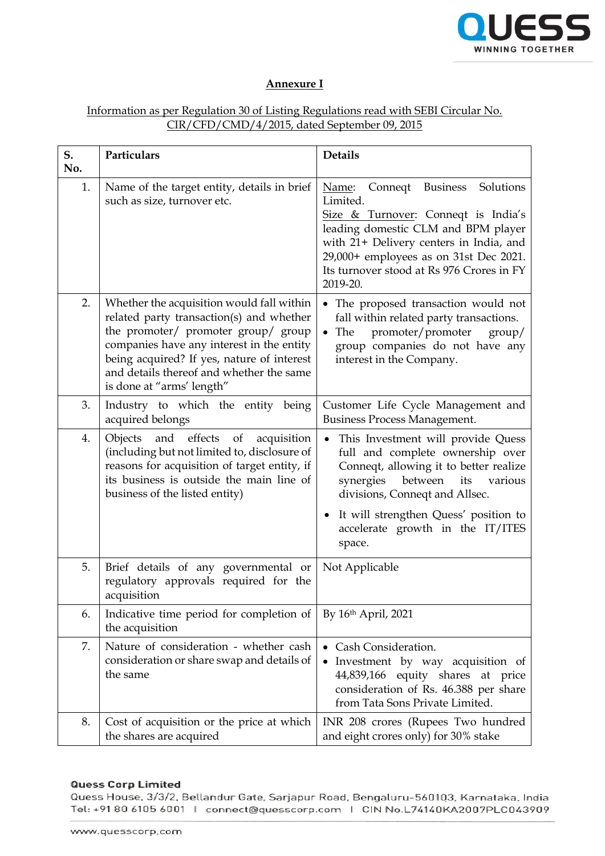

# **Annexure I**

# Information as per Regulation 30 of Listing Regulations read with SEBI Circular No. CIR/CFD/CMD/4/2015, dated September 09, 2015

| S.<br>No. | Particulars                                                                                                                                                                                                                                                                                      | <b>Details</b>                                                                                                                                                                                                                                                                                                |
|-----------|--------------------------------------------------------------------------------------------------------------------------------------------------------------------------------------------------------------------------------------------------------------------------------------------------|---------------------------------------------------------------------------------------------------------------------------------------------------------------------------------------------------------------------------------------------------------------------------------------------------------------|
| 1.        | Name of the target entity, details in brief<br>such as size, turnover etc.                                                                                                                                                                                                                       | <b>Business</b><br>Solutions<br>Conneqt<br>Name:<br>Limited.<br>Size & Turnover: Conneqt is India's<br>leading domestic CLM and BPM player<br>with 21+ Delivery centers in India, and<br>29,000+ employees as on 31st Dec 2021.<br>Its turnover stood at Rs 976 Crores in FY<br>2019-20.                      |
| 2.        | Whether the acquisition would fall within<br>related party transaction(s) and whether<br>the promoter/ promoter group/ group<br>companies have any interest in the entity<br>being acquired? If yes, nature of interest<br>and details thereof and whether the same<br>is done at "arms' length" | • The proposed transaction would not<br>fall within related party transactions.<br>promoter/promoter<br>The<br>$\text{group}/$<br>$\bullet$<br>group companies do not have any<br>interest in the Company.                                                                                                    |
| 3.        | Industry to which the entity being<br>acquired belongs                                                                                                                                                                                                                                           | Customer Life Cycle Management and<br><b>Business Process Management.</b>                                                                                                                                                                                                                                     |
| 4.        | effects<br>Objects<br>and<br>of<br>acquisition<br>(including but not limited to, disclosure of<br>reasons for acquisition of target entity, if<br>its business is outside the main line of<br>business of the listed entity)                                                                     | This Investment will provide Quess<br>$\bullet$<br>full and complete ownership over<br>Conneqt, allowing it to better realize<br>synergies<br>between<br>its<br>various<br>divisions, Conneqt and Allsec.<br>It will strengthen Quess' position to<br>$\bullet$<br>accelerate growth in the IT/ITES<br>space. |
| 5.        | Brief details of any governmental or<br>regulatory approvals required for the<br>acquisition                                                                                                                                                                                                     | Not Applicable                                                                                                                                                                                                                                                                                                |
| 6.        | Indicative time period for completion of<br>the acquisition                                                                                                                                                                                                                                      | By 16th April, 2021                                                                                                                                                                                                                                                                                           |
| 7.        | Nature of consideration - whether cash<br>consideration or share swap and details of<br>the same                                                                                                                                                                                                 | • Cash Consideration.<br>Investment by way acquisition of<br>٠<br>44,839,166<br>equity shares<br>at price<br>consideration of Rs. 46.388 per share<br>from Tata Sons Private Limited.                                                                                                                         |
| 8.        | Cost of acquisition or the price at which<br>the shares are acquired                                                                                                                                                                                                                             | INR 208 crores (Rupees Two hundred<br>and eight crores only) for 30% stake                                                                                                                                                                                                                                    |

### **Quess Corp Limited**

Quess House, 3/3/2, Bellandur Gate, Sarjapur Road, Bengaluru-560103, Karnataka, India Tel: +91 80 6105 6001 | connect@quesscorp.com | CIN No.L74140KA2007PLC043909